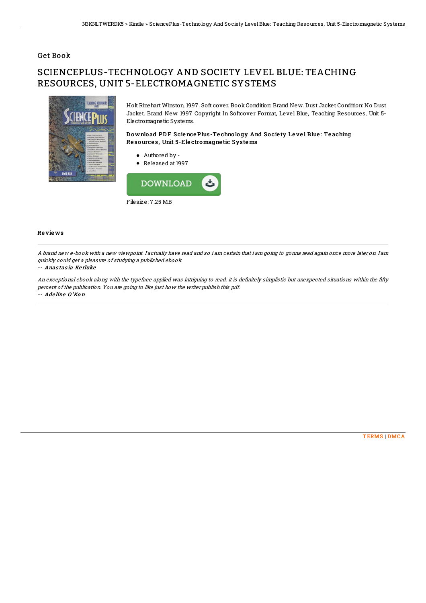## **Get Book**

# SCIENCEPLUS-TECHNOLOGY AND SOCIETY LEVEL BLUE: TEACHING RESOURCES. UNIT 5-ELECTROMAGNETIC SYSTEMS



Holt Rinehart Winston, 1997. Soft cover. Book Condition: Brand New. Dust Jacket Condition: No Dust Jacket. Brand New 1997 Copyright In Softcover Format, Level Blue, Teaching Resources, Unit 5-Electromagnetic Systems.

## Download PDF Science Plus-Technology And Society Level Blue: Teaching Resources, Unit 5-Electromagnetic Systems

- Authored by -
- Released at 1997



#### **Reviews**

A brand new e-book with a new viewpoint. I actually have read and so i am certain that i am going to gonna read again once more later on. I am quickly could get a pleasure of studying a published ebook.

## -- Anastasia Kerluke

An exceptional ebook along with the typeface applied was intriguing to read. It is definitely simplistic but unexpected situations within the fifty percent of the publication. You are going to like just how the writer publish this pdf. -- Adeline O'Kon